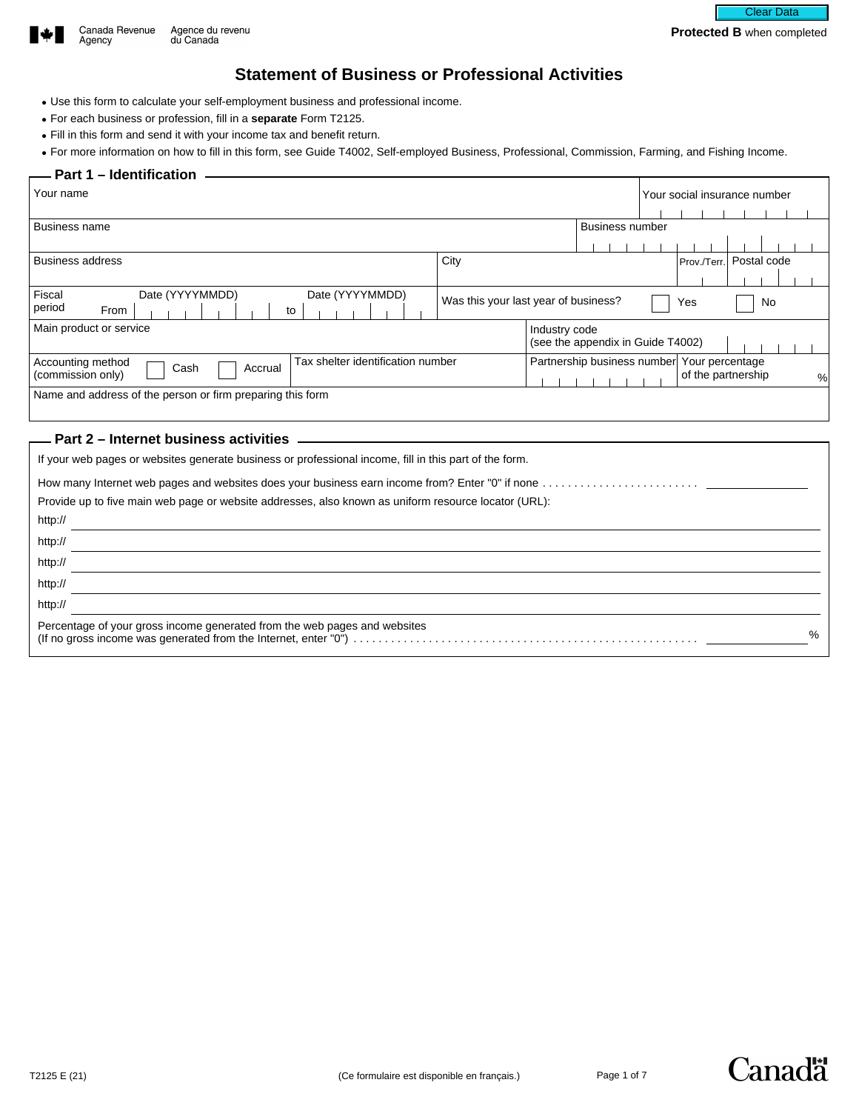

 $\overline{a}$ 

# **Statement of Business or Professional Activities**

- Use this form to calculate your self-employment business and professional income.
- For each business or profession, fill in a **separate** Form T2125.
- Fill in this form and send it with your income tax and benefit return.

• For more information on how to fill in this form, see Guide T4002, Self-employed Business, Professional, Commission, Farming, and Fishing Income.

#### **Part 1 – Identification**

| Your name                                                                                              |                                                          |               |                                              |  | Your social insurance number |   |
|--------------------------------------------------------------------------------------------------------|----------------------------------------------------------|---------------|----------------------------------------------|--|------------------------------|---|
|                                                                                                        |                                                          |               |                                              |  |                              |   |
| <b>Business name</b>                                                                                   |                                                          |               | <b>Business number</b>                       |  |                              |   |
|                                                                                                        |                                                          |               |                                              |  |                              |   |
| <b>Business address</b>                                                                                | City                                                     |               |                                              |  | Prov./Terr. Postal code      |   |
|                                                                                                        |                                                          |               |                                              |  |                              |   |
| Fiscal<br>Date (YYYYMMDD)<br>Date (YYYYMMDD)                                                           |                                                          |               |                                              |  |                              |   |
| period<br>From<br>to                                                                                   | Was this your last year of business?<br>Yes<br><b>No</b> |               |                                              |  |                              |   |
| Main product or service                                                                                |                                                          | Industry code | (see the appendix in Guide T4002)            |  |                              |   |
| Tax shelter identification number<br>Accounting method                                                 |                                                          |               | Partnership business number  Your percentage |  |                              |   |
| Accrual<br>Cash<br>(commission only)                                                                   |                                                          |               |                                              |  | of the partnership           | % |
| Name and address of the person or firm preparing this form                                             |                                                          |               |                                              |  |                              |   |
|                                                                                                        |                                                          |               |                                              |  |                              |   |
| Part 2 – Internet business activities                                                                  |                                                          |               |                                              |  |                              |   |
|                                                                                                        |                                                          |               |                                              |  |                              |   |
| If your web pages or websites generate business or professional income, fill in this part of the form. |                                                          |               |                                              |  |                              |   |
| How many Internet web pages and websites does your business earn income from? Enter "0" if none        |                                                          |               |                                              |  |                              |   |

| Provide up to five main web page or website addresses, also known as uniform resource locator (URL): |
|------------------------------------------------------------------------------------------------------|
| http://                                                                                              |
| http://                                                                                              |
| http://                                                                                              |
| http://                                                                                              |
| http://                                                                                              |
| Percentage of your gross income generated from the web pages and websites<br>$\%$                    |



Canadä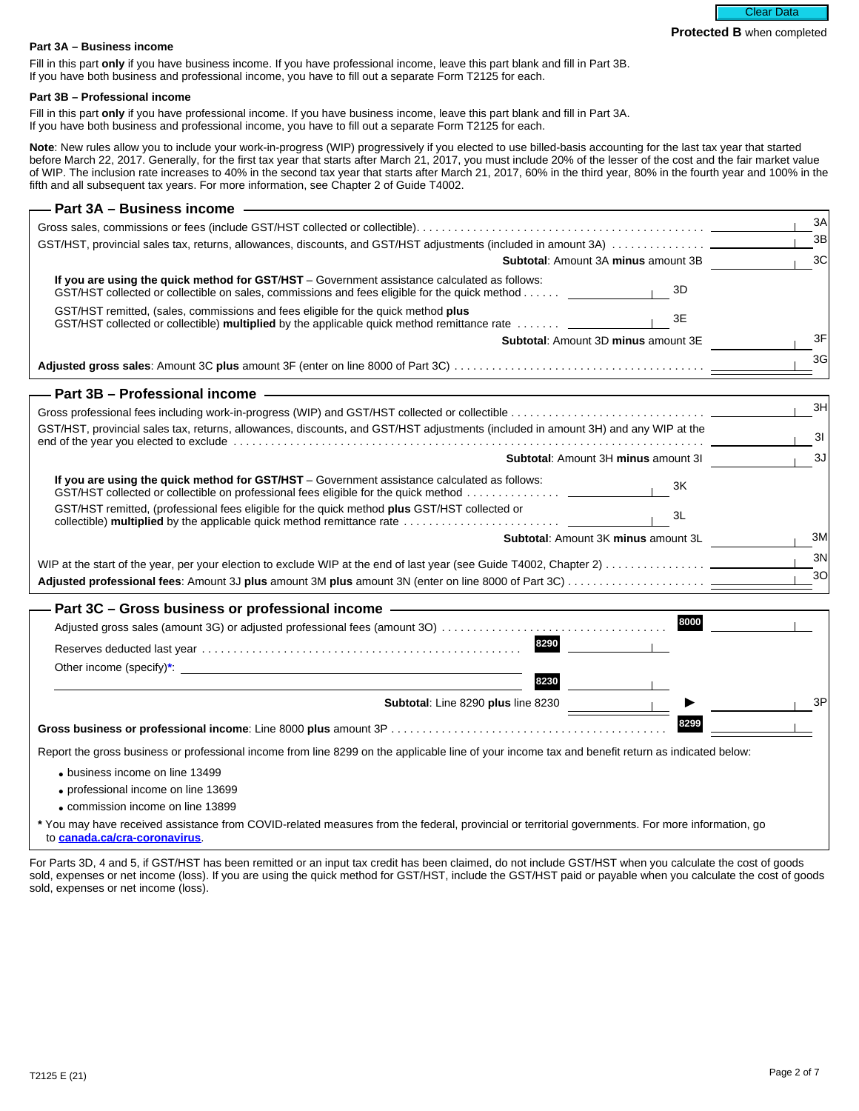#### **Part 3A – Business income**

Fill in this part **only** if you have business income. If you have professional income, leave this part blank and fill in Part 3B. If you have both business and professional income, you have to fill out a separate Form T2125 for each.

#### **Part 3B – Professional income**

Fill in this part **only** if you have professional income. If you have business income, leave this part blank and fill in Part 3A. If you have both business and professional income, you have to fill out a separate Form T2125 for each.

Note: New rules allow you to include your work-in-progress (WIP) progressively if you elected to use billed-basis accounting for the last tax year that started before March 22, 2017. Generally, for the first tax year that starts after March 21, 2017, you must include 20% of the lesser of the cost and the fair market value of WIP. The inclusion rate increases to 40% in the second tax year that starts after March 21, 2017, 60% in the third year, 80% in the fourth year and 100% in the fifth and all subsequent tax years. For more information, see Chapter 2 of Guide T4002.

| <b>Part 3A - Business income</b>                                                                                                                                                                                               |                    |
|--------------------------------------------------------------------------------------------------------------------------------------------------------------------------------------------------------------------------------|--------------------|
|                                                                                                                                                                                                                                | ЗΑ                 |
|                                                                                                                                                                                                                                | 3B<br>$\mathbf{I}$ |
| <b>Subtotal:</b> Amount 3A minus amount 3B                                                                                                                                                                                     | 3C                 |
| If you are using the quick method for GST/HST - Government assistance calculated as follows:<br>$\sqrt{3}$<br>GST/HST collected or collectible on sales, commissions and fees eligible for the quick method                    |                    |
| GST/HST remitted, (sales, commissions and fees eligible for the quick method plus<br>3E<br>GST/HST collected or collectible) multiplied by the applicable quick method remittance rate  ____                                   |                    |
| Subtotal: Amount 3D minus amount 3E                                                                                                                                                                                            | 3F                 |
|                                                                                                                                                                                                                                | 3G                 |
| Part 3B - Professional income - The Context of the Context of the Context of the Context of the Context of the Context of the Context of the Context of the Context of the Context of the Context of the Context of the Contex |                    |
|                                                                                                                                                                                                                                | 3H                 |
| GST/HST, provincial sales tax, returns, allowances, discounts, and GST/HST adjustments (included in amount 3H) and any WIP at the                                                                                              | 3I                 |
| Subtotal: Amount 3H minus amount 3I                                                                                                                                                                                            | 3J                 |
| If you are using the quick method for GST/HST - Government assistance calculated as follows:<br>3K<br>GST/HST collected or collectible on professional fees eligible for the quick method                                      |                    |
| GST/HST remitted, (professional fees eligible for the quick method plus GST/HST collected or<br>3L                                                                                                                             |                    |
| Subtotal: Amount 3K minus amount 3L                                                                                                                                                                                            | 3M                 |
| WIP at the start of the year, per your election to exclude WIP at the end of last year (see Guide T4002, Chapter 2)                                                                                                            | 3N                 |
|                                                                                                                                                                                                                                | 3 <sub>O</sub>     |
|                                                                                                                                                                                                                                |                    |
| Part 3C - Gross business or professional income - The Context of School and SC - Gross business or professional income<br>8000                                                                                                 |                    |
| 8290                                                                                                                                                                                                                           |                    |
|                                                                                                                                                                                                                                |                    |
|                                                                                                                                                                                                                                |                    |
| 8230                                                                                                                                                                                                                           |                    |
| Subtotal: Line 8290 plus line 8230                                                                                                                                                                                             | 3P                 |
| 8299                                                                                                                                                                                                                           |                    |
| Report the gross business or professional income from line 8299 on the applicable line of your income tax and benefit return as indicated below:                                                                               |                    |
| • business income on line 13499                                                                                                                                                                                                |                    |
| • professional income on line 13699                                                                                                                                                                                            |                    |
| • commission income on line 13899                                                                                                                                                                                              |                    |

**\*** You may have received assistance from COVID-related measures from the federal, provincial or territorial governments. For more information, go to **[canada.ca/cra-coronavirus](https://www.canada.ca/en/revenue-agency/campaigns/covid-19-update.html?utm_campaign=not-applicable&utm_medium=vanity-url&utm_source=canada-ca_cra-coronavirus)**.

For Parts 3D, 4 and 5, if GST/HST has been remitted or an input tax credit has been claimed, do not include GST/HST when you calculate the cost of goods sold, expenses or net income (loss). If you are using the quick method for GST/HST, include the GST/HST paid or payable when you calculate the cost of goods sold, expenses or net income (loss).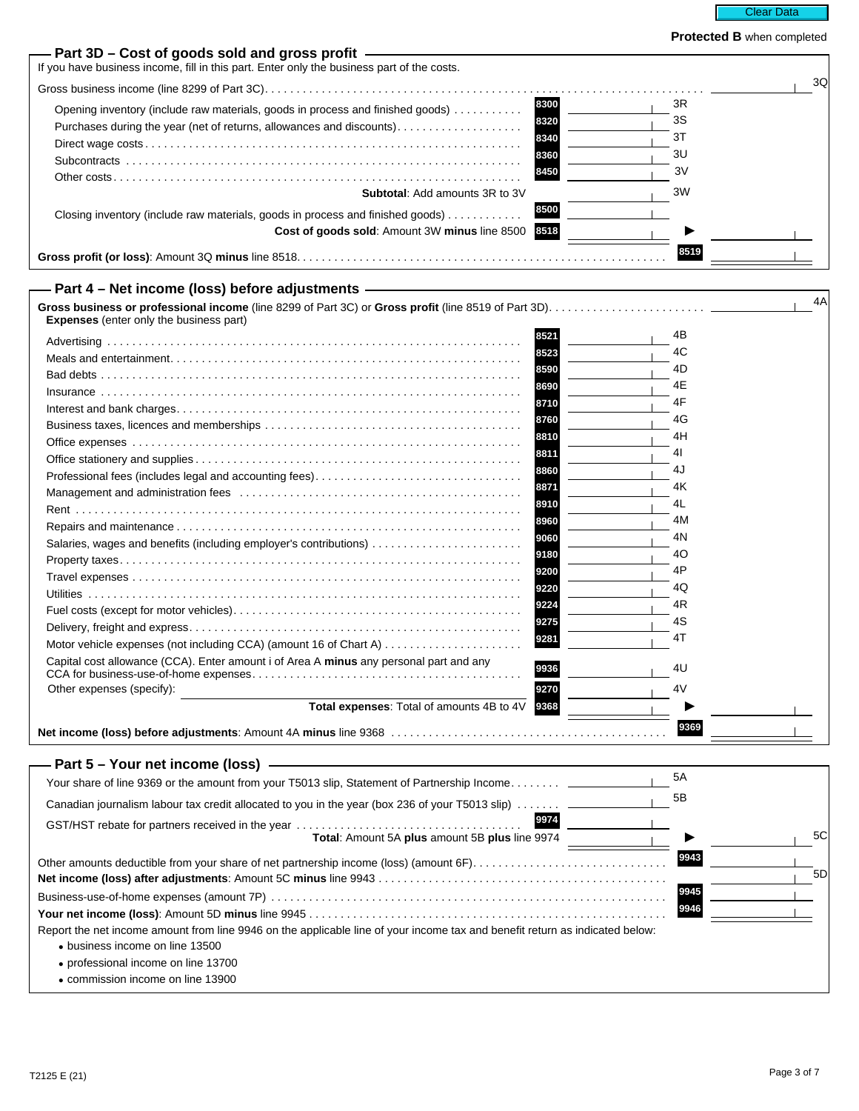

I

| Part 3D – Cost of goods sold and gross profit –<br>If you have business income, fill in this part. Enter only the business part of the costs. |          |    |
|-----------------------------------------------------------------------------------------------------------------------------------------------|----------|----|
|                                                                                                                                               |          | 3Q |
| 8300<br>Opening inventory (include raw materials, goods in process and finished goods)<br>8320                                                | 3R<br>3S |    |
| Purchases during the year (net of returns, allowances and discounts)<br>8340                                                                  | 3T       |    |
| 8360                                                                                                                                          | 3U       |    |
| 8450                                                                                                                                          | 3V       |    |
| <b>Subtotal: Add amounts 3R to 3V</b>                                                                                                         | ЗW       |    |
| 8500<br>Closing inventory (include raw materials, goods in process and finished goods)                                                        |          |    |
| 8518<br>Cost of goods sold: Amount 3W minus line 8500                                                                                         |          |    |
|                                                                                                                                               | 8519     |    |
| Part 4 - Net income (loss) before adjustments -                                                                                               |          |    |
|                                                                                                                                               |          | 4A |
| <b>Expenses</b> (enter only the business part)                                                                                                |          |    |
| 8521                                                                                                                                          | 4B       |    |
| 8523                                                                                                                                          | 4C       |    |
| 8590                                                                                                                                          | 4D       |    |
| 8690                                                                                                                                          | 4Ε       |    |
| 8710                                                                                                                                          | 4F       |    |
| 8760                                                                                                                                          | 4G       |    |
| 8810                                                                                                                                          | 4H       |    |
| 8811                                                                                                                                          | 41       |    |
| 8860<br>Professional fees (includes legal and accounting fees)                                                                                | 4J       |    |
| 8871                                                                                                                                          | 4Κ       |    |
| 8910                                                                                                                                          | 4L       |    |
| 8960                                                                                                                                          | 4M       |    |
| 9060<br>Salaries, wages and benefits (including employer's contributions)                                                                     | 4N       |    |
| 9180                                                                                                                                          | 40       |    |
| 9200                                                                                                                                          | 4P       |    |
| 9220                                                                                                                                          | 4Q       |    |
| 9224                                                                                                                                          | 4R       |    |
| 9275                                                                                                                                          | 4S       |    |
| 9281                                                                                                                                          | 4T       |    |
| Capital cost allowance (CCA). Enter amount i of Area A minus any personal part and any<br>9936                                                | 4U       |    |
| Other expenses (specify):<br>9270                                                                                                             | 4V       |    |
| Total expenses: Total of amounts 4B to 4V<br>9368                                                                                             |          |    |
|                                                                                                                                               | 9369     |    |
| Net income (loss) before adjustments: Amount 4A minus line 9368                                                                               |          |    |
| Part 5 - Your net income (loss) -                                                                                                             |          |    |
| Your share of line 9369 or the amount from your T5013 slip, Statement of Partnership Income ______                                            | 5A       |    |
| Canadian journalism labour tax credit allocated to you in the year (box 236 of your T5013 slip)                                               | 5Β       |    |
| 9974                                                                                                                                          |          | 5C |
| Total: Amount 5A plus amount 5B plus line 9974                                                                                                |          |    |
| Other amounts deductible from your share of net partnership income (loss) (amount 6F)                                                         | 9943     | 5D |
|                                                                                                                                               | 9945     |    |
|                                                                                                                                               | 9946     |    |
| Report the net income amount from line 9946 on the applicable line of your income tax and benefit return as indicated below:                  |          |    |
| • business income on line 13500                                                                                                               |          |    |
| • professional income on line 13700                                                                                                           |          |    |
| • commission income on line 13900                                                                                                             |          |    |
|                                                                                                                                               |          |    |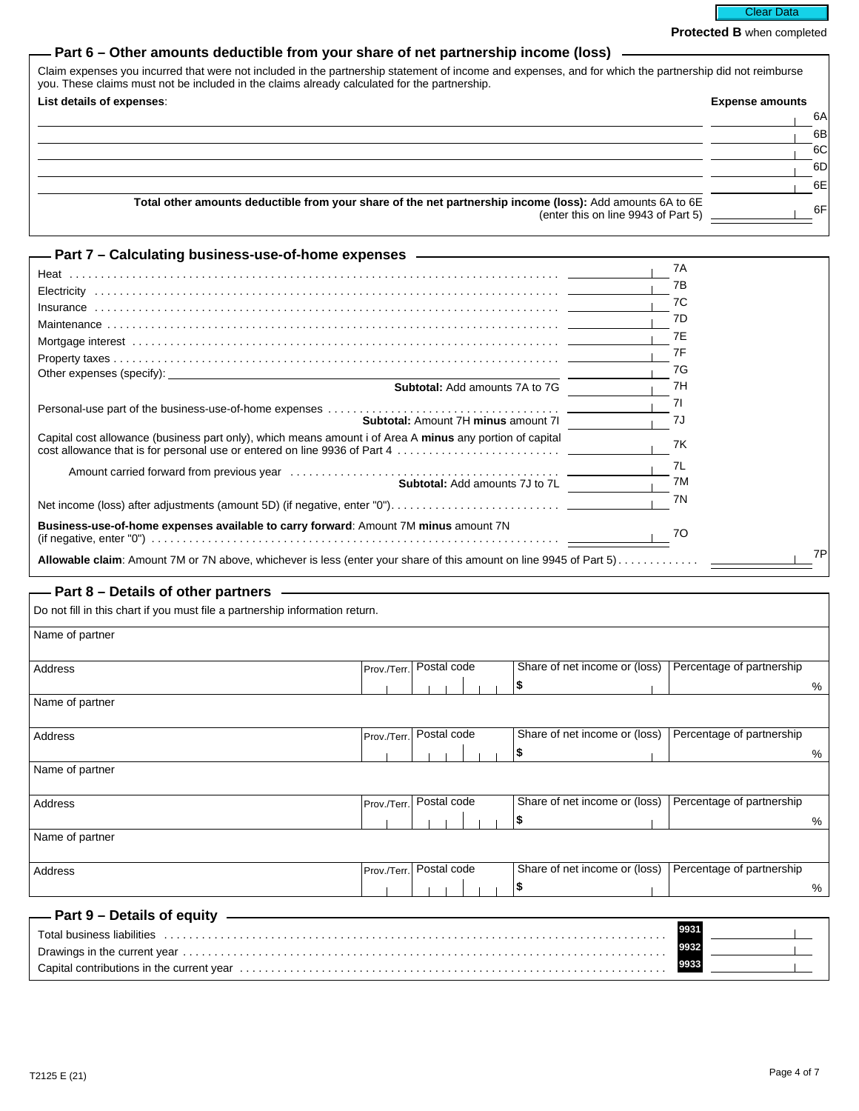Clear Data

**Protected B** when completed

### **Part 6 – Other amounts deductible from your share of net partnership income (loss)**

| Claim expenses you incurred that were not included in the partnership statement of income and expenses, and for which the partnership did not reimburse<br>you. These claims must not be included in the claims already calculated for the partnership. |                        |  |  |  |
|---------------------------------------------------------------------------------------------------------------------------------------------------------------------------------------------------------------------------------------------------------|------------------------|--|--|--|
| List details of expenses:                                                                                                                                                                                                                               | <b>Expense amounts</b> |  |  |  |
|                                                                                                                                                                                                                                                         | 6A                     |  |  |  |
|                                                                                                                                                                                                                                                         | 6B                     |  |  |  |
|                                                                                                                                                                                                                                                         | 6C                     |  |  |  |
|                                                                                                                                                                                                                                                         | 6DI                    |  |  |  |
|                                                                                                                                                                                                                                                         | 6E                     |  |  |  |
| Total other amounts deductible from your share of the net partnership income (loss): Add amounts 6A to 6E<br>(enter this on line 9943 of Part 5)                                                                                                        | 6F                     |  |  |  |

| — Part 7 – Calculating business-use-of-home expenses ——————————                                          |     |
|----------------------------------------------------------------------------------------------------------|-----|
|                                                                                                          | 7A  |
|                                                                                                          | 7В  |
|                                                                                                          |     |
|                                                                                                          | 7C  |
|                                                                                                          | 7D  |
|                                                                                                          | 7E  |
|                                                                                                          | 7F  |
|                                                                                                          | 7G  |
| <b>Subtotal:</b> Add amounts 7A to 7G                                                                    | 7H  |
|                                                                                                          | 71  |
| <b>Subtotal: Amount 7H minus amount 7I</b>                                                               | -7J |
| Capital cost allowance (business part only), which means amount i of Area A minus any portion of capital | 7K  |
|                                                                                                          | 7L  |
| Subtotal: Add amounts 7J to 7L                                                                           | 7M  |
|                                                                                                          | 7N  |
| Business-use-of-home expenses available to carry forward: Amount 7M minus amount 7N                      | 70  |
|                                                                                                          | 7P  |

### **Part 8 – Details of other partners –**

| Do not fill in this chart if you must file a partnership information return.                                                                                                                                                   |                         |             |  |  |  |                               |                           |
|--------------------------------------------------------------------------------------------------------------------------------------------------------------------------------------------------------------------------------|-------------------------|-------------|--|--|--|-------------------------------|---------------------------|
| Name of partner                                                                                                                                                                                                                |                         |             |  |  |  |                               |                           |
| Address                                                                                                                                                                                                                        | Prov./Terr.             | Postal code |  |  |  | Share of net income or (loss) | Percentage of partnership |
|                                                                                                                                                                                                                                |                         |             |  |  |  | S                             | %                         |
| Name of partner                                                                                                                                                                                                                |                         |             |  |  |  |                               |                           |
| Address                                                                                                                                                                                                                        | Prov./Terr. Postal code |             |  |  |  | Share of net income or (loss) | Percentage of partnership |
|                                                                                                                                                                                                                                |                         |             |  |  |  | 5                             | %                         |
| Name of partner                                                                                                                                                                                                                |                         |             |  |  |  |                               |                           |
| Address                                                                                                                                                                                                                        | Prov./Terr. Postal code |             |  |  |  | Share of net income or (loss) | Percentage of partnership |
|                                                                                                                                                                                                                                |                         |             |  |  |  |                               | %                         |
| Name of partner                                                                                                                                                                                                                |                         |             |  |  |  |                               |                           |
| Address                                                                                                                                                                                                                        | Prov./Terr.             | Postal code |  |  |  | Share of net income or (loss) | Percentage of partnership |
|                                                                                                                                                                                                                                |                         |             |  |  |  |                               | %                         |
| - Part 9 – Details of equity                                                                                                                                                                                                   |                         |             |  |  |  |                               |                           |
| Total business liabilities (all contact all contact and contact all contact all contact and contact all contact and contact and contact all contact and contact and contact and contact and contact and contact and contact an |                         |             |  |  |  |                               | 9931                      |
|                                                                                                                                                                                                                                |                         |             |  |  |  |                               | 9932                      |
|                                                                                                                                                                                                                                |                         |             |  |  |  |                               | 9933                      |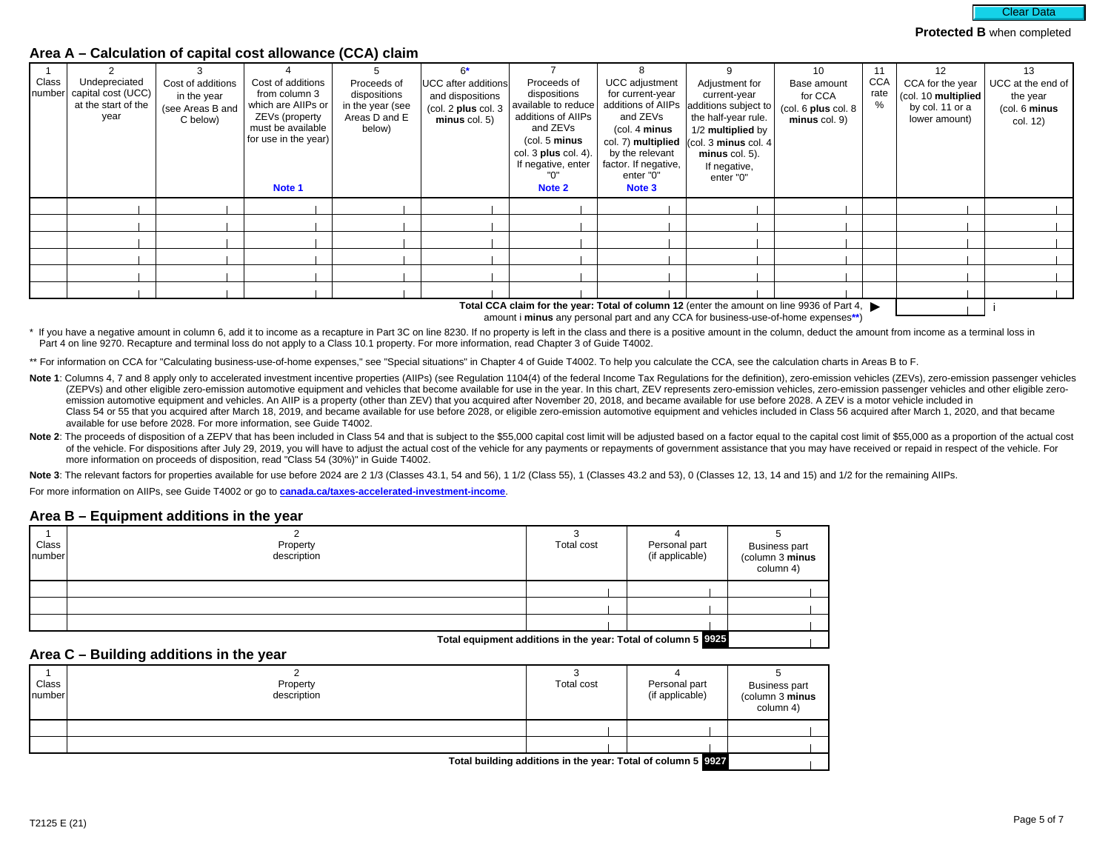

### **Area A – Calculation of capital cost allowance (CCA) claim**

| Class | Undepreciated<br>number   capital cost (UCC)<br>at the start of the<br>year | Cost of additions<br>in the year<br>(see Areas B and<br>C below) | Cost of additions<br>from column 3<br>which are AllPs or<br>ZEVs (property<br>must be available<br>for use in the year)<br>Note 1 | Proceeds of<br>dispositions<br>in the year (see<br>Areas D and E<br>below) | $6*$<br><b>UCC</b> after additions<br>and dispositions<br>$\left(\text{col. 2 plus col. 3}\right)$<br>minus col. 5) | Proceeds of<br>dispositions<br>available to reduce<br>additions of AllPs<br>and ZEVs<br>(col. 5 minus<br>col. $3$ plus col. $4$ ).<br>If negative, enter<br>Note 2 | UCC adjustment<br>for current-year<br>additions of AllPs<br>and ZEVs<br>$1$ (col. 4 minus<br>col. 7) multiplied<br>by the relevant<br>factor. If negative,<br>enter "0"<br>Note 3 | Adjustment for<br>current-year<br>additions subject to<br>the half-year rule.<br>1/2 multiplied by<br>$ $ (col. 3 minus col. 4<br>$minus$ col. 5).<br>If negative,<br>enter "0" | 10<br>Base amount<br>for CCA<br>$\left(\text{col. }6\text{ plus col. }8\right)$<br>minus col. 9) | 11<br>CCA<br>rate<br>% | $12 \overline{ }$<br>CCA for the year<br>(col. 10 multiplied<br>by col. 11 or a<br>lower amount) | 13<br>$UCC$ at the end of<br>the year<br>(col. 6 minus<br>col. 12) |
|-------|-----------------------------------------------------------------------------|------------------------------------------------------------------|-----------------------------------------------------------------------------------------------------------------------------------|----------------------------------------------------------------------------|---------------------------------------------------------------------------------------------------------------------|--------------------------------------------------------------------------------------------------------------------------------------------------------------------|-----------------------------------------------------------------------------------------------------------------------------------------------------------------------------------|---------------------------------------------------------------------------------------------------------------------------------------------------------------------------------|--------------------------------------------------------------------------------------------------|------------------------|--------------------------------------------------------------------------------------------------|--------------------------------------------------------------------|
|       |                                                                             |                                                                  |                                                                                                                                   |                                                                            |                                                                                                                     |                                                                                                                                                                    |                                                                                                                                                                                   |                                                                                                                                                                                 |                                                                                                  |                        |                                                                                                  |                                                                    |
|       |                                                                             |                                                                  |                                                                                                                                   |                                                                            |                                                                                                                     |                                                                                                                                                                    |                                                                                                                                                                                   |                                                                                                                                                                                 |                                                                                                  |                        |                                                                                                  |                                                                    |
|       |                                                                             |                                                                  |                                                                                                                                   |                                                                            |                                                                                                                     |                                                                                                                                                                    |                                                                                                                                                                                   |                                                                                                                                                                                 |                                                                                                  |                        |                                                                                                  |                                                                    |
|       |                                                                             |                                                                  |                                                                                                                                   |                                                                            |                                                                                                                     |                                                                                                                                                                    |                                                                                                                                                                                   |                                                                                                                                                                                 |                                                                                                  |                        |                                                                                                  |                                                                    |
|       |                                                                             |                                                                  |                                                                                                                                   |                                                                            |                                                                                                                     |                                                                                                                                                                    |                                                                                                                                                                                   |                                                                                                                                                                                 |                                                                                                  |                        |                                                                                                  |                                                                    |
|       |                                                                             |                                                                  |                                                                                                                                   |                                                                            |                                                                                                                     |                                                                                                                                                                    |                                                                                                                                                                                   | Total CCA algim for the veary Total of aslumn 12 (enter the empunt on line 0026 of Dart 4                                                                                       |                                                                                                  |                        |                                                                                                  |                                                                    |

Total CCA claim for the year: Total of column 12 (enter the amount on line 9936 of Part 4, ▶ │ │ │ │ amount i **minus** any personal part and any CCA for business-use-of-home expenses**\*\***)

\* If you have a negative amount in column 6, add it to income as a recapture in Part 3C on line 8230. If no property is left in the class and there is a positive amount in the column, deduct the amount from income as a ter Part 4 on line 9270. Recapture and terminal loss do not apply to a Class 10.1 property. For more information, read Chapter 3 of Guide T4002.

\*\* For information on CCA for "Calculating business-use-of-home expenses," see "Special situations" in Chapter 4 of Guide T4002. To help you calculate the CCA, see the calculation charts in Areas B to F.

Note 1: Columns 4, 7 and 8 apply only to accelerated investment incentive properties (AIIPs) (see Regulation 1104(4) of the federal Income Tax Regulations for the definition), zero-emission vehicles (ZEVs), zero-emission p (ZEPVs) and other eligible zero-emission automotive equipment and vehicles that become available for use in the year. In this chart, ZEV represents zero-emission vehicles, zero-emission passenger vehicles and other eligibl emission automotive equipment and vehicles. An AIIP is a property (other than ZEV) that you acquired after November 20, 2018, and became available for use before 2028. A ZEV is a motor vehicle included in Class 54 or 55 that you acquired after March 18, 2019, and became available for use before 2028, or eligible zero-emission automotive equipment and vehicles included in Class 56 acquired after March 1, 2020, and that became available for use before 2028. For more information, see Guide T4002.

Note 2: The proceeds of disposition of a ZEPV that has been included in Class 54 and that is subject to the \$55,000 capital cost limit will be adjusted based on a factor equal to the capital cost limit of \$55,000 as a prop of the vehicle. For dispositions after July 29, 2019, you will have to adjust the actual cost of the vehicle for any payments or repayments of government assistance that you may have received or repaid in respect of the ve more information on proceeds of disposition, read "Class 54 (30%)" in Guide T4002.

Note 3: The relevant factors for properties available for use before 2024 are 2 1/3 (Classes 43.1, 54 and 56), 1 1/2 (Classes 43.1, 1 (Classes 43.2 and 53), 0 (Classes 12, 13, 14 and 15) and 1/2 for the remaining AIIPs.

For more information on AIIPs, see Guide T4002 or go to **[canada.ca/taxes-accelerated-investment-income](https://www.canada.ca/en/revenue-agency/services/tax/businesses/topics/sole-proprietorships-partnerships/report-business-income-expenses/claiming-capital-cost-allowance/accelerated-investment-incentive.html?utm_campaign=not-applicable&utm_medium=vanity-url&utm_source=canada-ca_taxes-accelerated-investment-income)**.

#### **Area B – Equipment additions in the year**

| Class<br>number | Property<br>description | Total cost | Personal part<br>(if applicable) | Business part<br>(column 3 <b>minus</b><br>column 4) |  |
|-----------------|-------------------------|------------|----------------------------------|------------------------------------------------------|--|
|                 |                         |            |                                  |                                                      |  |
|                 |                         |            |                                  |                                                      |  |
|                 |                         |            |                                  |                                                      |  |

**Total equipment additions in the year: Total of column 5 9925**

#### **Area C – Building additions in the year**

| Class<br>Inumber                                             | Property<br>description | Total cost | Personal part<br>(if applicable) | <b>Business part</b><br>(column 3 <b>minus</b><br>column 4) |  |  |
|--------------------------------------------------------------|-------------------------|------------|----------------------------------|-------------------------------------------------------------|--|--|
|                                                              |                         |            |                                  |                                                             |  |  |
|                                                              |                         |            |                                  |                                                             |  |  |
| Total building additions in the year: Total of column 5 9927 |                         |            |                                  |                                                             |  |  |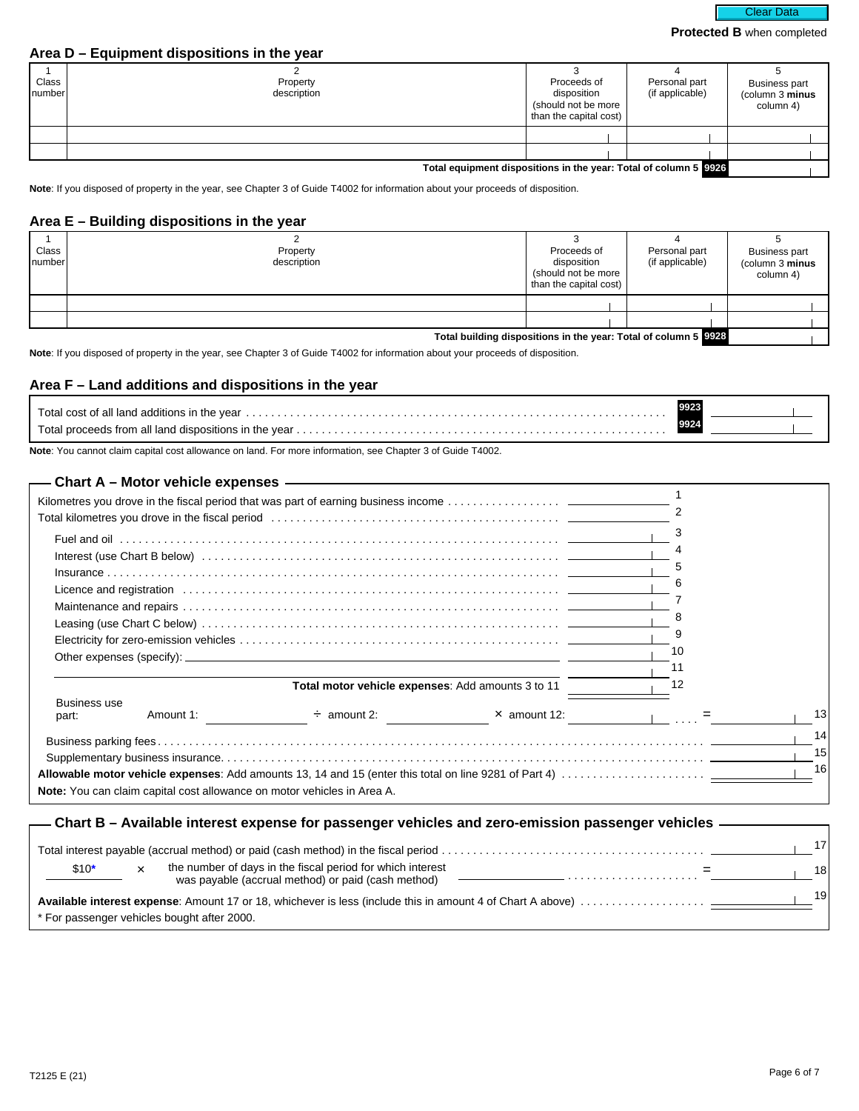### **Area D – Equipment dispositions in the year**

| Class<br>Inumberl | Property<br>description                                          | Proceeds of<br>disposition<br>(should not be more<br>than the capital cost) | Personal part<br>(if applicable) | <b>Business part</b><br>(column 3 minus<br>column 4) |  |  |  |
|-------------------|------------------------------------------------------------------|-----------------------------------------------------------------------------|----------------------------------|------------------------------------------------------|--|--|--|
|                   |                                                                  |                                                                             |                                  |                                                      |  |  |  |
|                   |                                                                  |                                                                             |                                  |                                                      |  |  |  |
|                   | Total equipment dispositions in the year: Total of column 5 2226 |                                                                             |                                  |                                                      |  |  |  |

**Note**: If you disposed of property in the year, see Chapter 3 of Guide T4002 for information about your proceeds of disposition.

# **Area E – Building dispositions in the year**

| Class<br>Inumber | Property<br>description                                         | Proceeds of<br>disposition<br>(should not be more<br>than the capital cost) | Personal part<br>(if applicable) | <b>Business part</b><br>(column 3 minus<br>column 4) |  |  |  |
|------------------|-----------------------------------------------------------------|-----------------------------------------------------------------------------|----------------------------------|------------------------------------------------------|--|--|--|
|                  |                                                                 |                                                                             |                                  |                                                      |  |  |  |
|                  |                                                                 |                                                                             |                                  |                                                      |  |  |  |
|                  | Total building dispositions in the year: Total of column 5 9928 |                                                                             |                                  |                                                      |  |  |  |

**Note**: If you disposed of property in the year, see Chapter 3 of Guide T4002 for information about your proceeds of disposition.

## **Area F – Land additions and dispositions in the year**

**Note**: You cannot claim capital cost allowance on land. For more information, see Chapter 3 of Guide T4002.

|                        |           |                                                                         | Total kilometres you drove in the fiscal period (and the content of the content of the fiscal period) and the fiscal period (and the content of the content of the content of the content of the content of the content of the |    |    |
|------------------------|-----------|-------------------------------------------------------------------------|--------------------------------------------------------------------------------------------------------------------------------------------------------------------------------------------------------------------------------|----|----|
|                        |           |                                                                         |                                                                                                                                                                                                                                | 3  |    |
|                        |           |                                                                         |                                                                                                                                                                                                                                |    |    |
|                        |           |                                                                         |                                                                                                                                                                                                                                | 5  |    |
|                        |           |                                                                         |                                                                                                                                                                                                                                | 6  |    |
|                        |           |                                                                         | Licence and registration (and accommodate contact and accommodate contact and registration (and accommodate contact and accommodate contact and accommodate contact and accommodate contact and accommodate contact and accomm |    |    |
|                        |           |                                                                         |                                                                                                                                                                                                                                | 8  |    |
|                        |           |                                                                         |                                                                                                                                                                                                                                | 9  |    |
|                        |           |                                                                         |                                                                                                                                                                                                                                | 10 |    |
|                        |           |                                                                         |                                                                                                                                                                                                                                | 11 |    |
|                        |           | Total motor vehicle expenses: Add amounts 3 to 11                       |                                                                                                                                                                                                                                | 12 |    |
| <b>Business use</b>    |           |                                                                         |                                                                                                                                                                                                                                |    |    |
| part:                  | Amount 1: | $\div$ amount 2:                                                        | $\times$ amount 12:                                                                                                                                                                                                            |    | 13 |
|                        |           |                                                                         |                                                                                                                                                                                                                                |    | 14 |
|                        |           |                                                                         |                                                                                                                                                                                                                                |    | 15 |
|                        |           |                                                                         |                                                                                                                                                                                                                                |    | 16 |
|                        |           | Note: You can claim capital cost allowance on motor vehicles in Area A. |                                                                                                                                                                                                                                |    |    |
|                        |           |                                                                         |                                                                                                                                                                                                                                |    |    |
|                        |           |                                                                         | - Chart B – Available interest expense for passenger vehicles and zero-emission passenger vehicles $\,-$                                                                                                                       |    |    |
|                        |           |                                                                         |                                                                                                                                                                                                                                |    | 17 |
|                        |           |                                                                         |                                                                                                                                                                                                                                |    |    |
| $$10*$<br>$\mathbf{x}$ |           | the number of days in the fiscal period for which interest              |                                                                                                                                                                                                                                |    | 18 |
|                        |           | was payable (accrual method) or paid (cash method)                      | . The contract of the contract of the contract of the contract of the contract of the contract of the contract of the contract of the contract of the contract of the contract of the contract of the contract of the contrac  |    | 19 |
|                        |           |                                                                         |                                                                                                                                                                                                                                |    |    |

<sup>19</sup> **Available interest expense**: Amount 17 or 18, whichever is less (include this in amount 4 of Chart A above) . . . . . . . . . . . . . . . . . . . . \* For passenger vehicles bought after 2000.